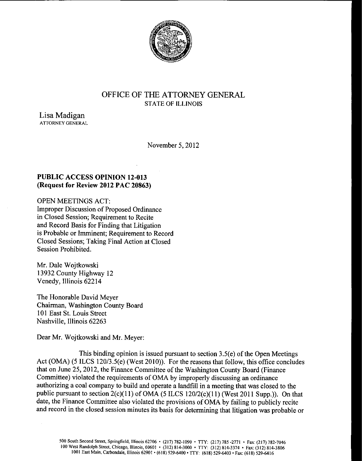

# OFFICE OF THE ATTORNEY GENERAL STATE OF ILLINOIS

Lisa Madigan ATTORNEY GENERAL

November 5, 2012

## PUBLIC ACCESS OPINION 12-013 Request for Review 2012 PAC 20863)

OPEN MEETINGS ACT: Improper Discussion of Proposed Ordinance in Closed Session; Requirement to Recite and Record Basis for Finding that Litigation is Probable or Imminent; Requirement to Record Closed Sessions; Taking Final Action at Closed Session Prohibited.

Mr. Dale Wojtkowski 13932 County Highway 12 Venedy, Illinois 62214

The Honorable David Meyer Chairman, Washington County Board 101 East St. Louis Street Nashville, Illinois 62263

Dear Mr. Wojtkowski and Mr. Meyer:

This binding opinion is issued pursuant to section  $3.5(e)$  of the Open Meetings Act (OMA) (5 ILCS 120/3.5(e) (West 2010)). For the reasons that follow, this office concludes that on June 25, 2012, the Finance Committee of the Washington County Board (Finance Committee) violated the requirements of OMA by improperly discussing an ordinance authorizing a coal company to build and operate a landfill in a meeting that was closed to the public pursuant to section 2(c)(11) of OMA (5 ILCS 120/2(c)(11) (West 2011 Supp.)). On that date, the Finance Committee also violated the provisions of OMA by failing to publicly recite and record in the closed session minutes its basis for determining that litigation was probable or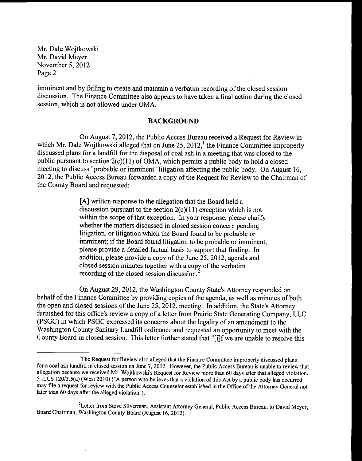imminent and by failing to create and maintain a verbatim recording of the closed session discussion. The Finance Committee also appears to have taken a final action during the closed session, which is not allowed under OMA.

#### BACKGROUND

On August 7, 2012, the Public Access Bureau received a Request for Review in which Mr. Dale Wojtkowski alleged that on June 25, 2012,<sup>1</sup> the Finance Committee improperly discussed plans for <sup>a</sup> landfill for the disposal of coal ash in <sup>a</sup> meeting that was closed to the public pursuant to section  $2(c)(11)$  of OMA, which permits a public body to hold a closed meeting to discuss "probable or imminent" litigation affecting the public body. On August 16, 2012, the Public Access Bureau forwarded <sup>a</sup> copy of the Request for Review to the Chairman of the County Board and requested:

> A] written response to the allegation that the Board held a discussion pursuant to the section  $2(c)(11)$  exception which is not within the scope of that exception. In your response, please clarify whether the matters discussed in closed session concern pending litigation, or litigation which the Board found to be probable or imminent; if the Board found litigation to be probable or imminent, please provide a detailed factual basis to support that finding. In addition, please provide <sup>a</sup> copy of the June 25, 2012, agenda and closed session minutes together with <sup>a</sup> copy of the verbatim recording of the closed session discussion.

On August 29, 2012, the Washington County State's Attorney responded on behalf of the Finance Committee by providing copies of the agenda, as well as minutes of both the open and closed sessions of the June 25, 2012, meeting. In addition, the State's Attorney furnished for this office's review a copy of a letter from Prairie State Generating Company, LLC PSGC) in which PSGC expressed its concerns about the legality of an amendment to the Washington County Sanitary Landfill ordinance and requested an opportunity to meet with the County Board in closed session. This letter further stated that "[i]f we are unable to resolve this

<sup>&</sup>lt;sup>1</sup>The Request for Review also alleged that the Finance Committee improperly discussed plans for a coal ash landfill in closed session on June 7, 2012. However, the Public Access Bureau is unable to review that allegation because we received Mr. Wojtkowski's Request for Review more than 60 days after that alleged violation. 5 ILCS 120/3.5(a) (West 2010) ("A person who believes that a violation of this Act by a public body has occurred may file <sup>a</sup> request for review with the Public Access Counselor established in the Office of the Attorney General not later than 60 days after the alleged violation").

<sup>&</sup>lt;sup>2</sup>Letter from Steve Silverman, Assistant Attorney General, Public Access Bureau, to David Meyer, Board Chairman, Washington County Board( August 16, 2012).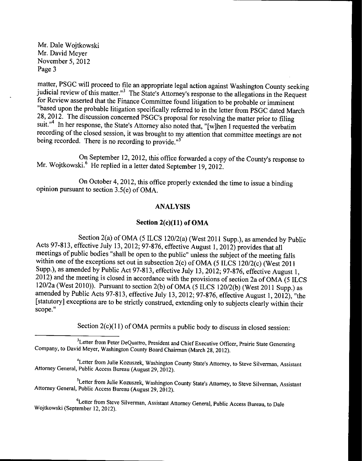matter, PSGC will proceed to file an appropriate legal action against Washington County seeking judicial review of this matter.<sup>13</sup> The State's Attorney's response to the allegations in the Request for Review asserted that the Finance Committee found litigation to be probable or imminent based upon the probable litigation specifically referred to in the letter from PSGC dated March 28, 2012. The discussion concerned PSGC's proposal for resolving the matter prior to filing suit."<sup>4</sup> In her response, the State's Attorney also noted that, "[w]hen I requested the verbatim recording of the closed session, it was brought to my attention that committee meetings are not being recorded. There is no recording to provide."<sup>5</sup>

On September 12, 2012, this office forwarded <sup>a</sup> copy of the County's response to Mr. Wojtkowski.<sup>6</sup> He replied in a letter dated September 19, 2012.

On October 4, 2012, this office properly extended the time to issue a binding opinion pursuant to section 3.5(e) of OMA.

### ANALYSIS

### Section  $2(c)(11)$  of OMA

Section 2(a) of OMA (5 ILCS 120/2(a) (West 2011 Supp.), as amended by Public Acts 97-813, effective July 13, 2012; 97-876, effective August 1, 2012) provides that all meetings of public bodies " shall be open to the public" unless the subject of the meeting falls within one of the exceptions set out in subsection 2(c) of OMA (5 ILCS 120/2(c) (West 2011 Supp.), as amended by Public Act 97-813, effective July 13, 2012; 97-876, effective August 1,  $2012$ ) and the meeting is closed in accordance with the provisions of section 2a of OMA (5 ILCS 120/2a (West 2010)). Pursuant to section 2(b) of OMA (5 ILCS 120/2(b) (West 2011 Supp.) as amended by Public Acts 97-813, effective July 13, 2012; 97-876, effective August 1, 2012), "the [statutory] exceptions are to be strictly construed, extending only to subjects clearly within their scope."

Section  $2(c)(11)$  of OMA permits a public body to discuss in closed session:

<sup>5</sup>Letter from Julie Kozuszek, Washington County State's Attorney, to Steve Silverman, Assistant Attorney General, Public Access Bureau( August 29, 2012).

6Letter from Steve Silverman, Assistant Attorney General, Public Access Bureau, to Dale Wojtkowski( September 12, 2012).

<sup>&</sup>lt;sup>3</sup>Letter from Peter DeQuattro, President and Chief Executive Officer, Prairie State Generating Company, to David Meyer, Washington County Board Chairman( March 28, 2012).

<sup>&</sup>lt;sup>4</sup>Letter from Julie Kozuszek, Washington County State's Attorney, to Steve Silverman, Assistant Attorney General, Public Access Bureau( August 29, 2012).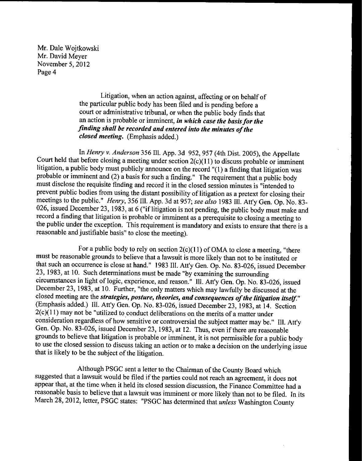Page 4 November 5, 2012 Mr. David Meyer Mr. Dale Wojtkowski

> closed meeting. (Emphasis added.) finding shall be recorded and entered into the minutes of the an action is probable or imminent, in which case the basis for the court or administrative tribunal, or when the public body finds that the particular public body has been filed and is pending before a Litigation, when an action against, affecting or on behalf of

reasonable and justifiable basis" to close the meeting). the public under the exception. This requirement is mandatory and exists to ensure that there is a record a finding that litigation is probable or imminent as a prerequisite to closing a meeting to 026, issued December 23, 1983, at 6 ("if litigation is not pending, the public body must make and meetings to the public." Henry, 356 Ill. App. 3d at 957; see also 1983 Ill. Att'y Gen. Op. No. 83prevent public bodies from using the distant possibility of litigation as a pretext for closing their must disclose the requisite finding and record it in the closed session minutes is "intended to probable or imminent and  $(2)$  a basis for such a finding." The requirement that a public body litigation, a public body must publicly announce on the record  $(1)$  a finding that litigation was Court held that before closing a meeting under section  $2(c)(11)$  to discuss probable or imminent In Henry v. Anderson 356 Ill. App. 3d 952, 957 (4th Dist. 2005), the Appellate

that is likely to be the subject of the litigation. to use the closed session to discuss taking an action or to make a decision on the underlying issue grounds to believe that litigation is probable or imminent, it is not permissible for a public body Gen. Op. No. 83-026, issued December 23, 1983, at 12. Thus, even if there are reasonable consideration regardless of how sensitive or controversial the subject matter may be." Ill. Att'y  $2(c)(11)$  may not be "utilized to conduct deliberations on the merits of a matter under (Emphasis added.) Ill. Att'y Gen. Op. No. 83-026, issued December 23, 1983, at 14. Section closed meeting are the strategies, posture, theories, and consequences of the litigation itself." December 23, 1983, at 10. Further, "the only matters which may lawfully be discussed at the circumstances in light of logic, experience, and reason." III. Att'y Gen. Op. No. 83-026, issued 23, 1983, at 10. Such determinations must be made "by examining the surrounding that such an occurrence is close at hand." 1983 Ill. Att'y Gen. Op. No. 83-026, issued December must be reasonable grounds to believe that a lawsuit is more likely than not to be instituted or For a public body to rely on section  $2(c)(11)$  of OMA to close a meeting, "there

March 28, 2012, letter, PSGC states: "PSGC has determined that unless Washington County reasonable basis to believe that a lawsuit was imminent or more likely than not to be filed. In its ppear that, at the time when it held its closed session discussion, the Finance Committee had a suggested that a lawsuit would be filed if the parties could not reach an agreement, it does not Although PSGC sent a letter to the Chairman of the County Board which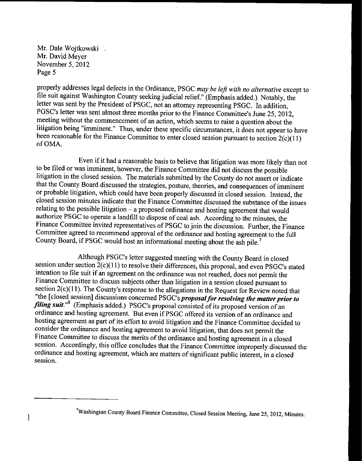properly addresses legal defects in the Ordinance, PSGC may be left with no alternative except to file suit against Washington County seeking judicial relief." (Emphasis added.) Notably, the letter was sent by the President of PSGC, not an attorney representing PSGC. In addition, PGSC's letter was sent almost three months prior to the Finance Committee's June 25, 2012, meeting without the commencement of an action, which seems to raise <sup>a</sup> question about the litigation being "imminent." Thus, under these specific circumstances, it does not appear to have been reasonable for the Finance Committee to enter closed session pursuant to section  $2(c)(11)$ of OMA.

Even if it had <sup>a</sup> reasonable basis to believe that litigation was more likely than not to be filed or was imminent, however, the Finance Committee did not discuss the possible litigation in the closed session. The materials submitted by the County do not assert or indicate that the County Board discussed the strategies, posture, theories, and consequences of imminent or probable litigation, which could have been properly discussed in closed session. Instead, the closed session minutes indicate that the Finance Committee discussed the substance of the issues relating to the possible litigation—a proposed ordinance and hosting agreement that would authorize PSGC to operate <sup>a</sup> landfill to dispose of coal ash. According to the minutes, the Finance Committee invited representatives of PSGC to join the discussion. Further, the Finance Committee agreed to recommend approval of the ordinance and hosting agreement to the full County Board, if PSGC would host an informational meeting about the ash pile.<sup>7</sup>

Although PSGC's letter suggested meeting with the County Board in closed session under section 2(c)(11) to resolve their differences, this proposal, and even PSGC's stated intention to file suit if an agreement on the ordinance was not reached, does not permit the Finance Committee to discuss subjects other than litigation in a session closed pursuant to section 2(c)(11). The County's response to the allegations in the Request for Review noted that "the [closed session] discussions concerned PSGC's proposal for resolving the matter prior to filing suit."<sup>8</sup> (Emphasis added.) PSGC's proposal consisted of its proposed version of an ordinance and hosting agreement. But even ifPSGC offered its version of an ordinance and hosting agreement as part of its effort to avoid litigation and the Finance Committee decided to consider the ordinance and hosting agreement to avoid litigation, that does not permit the Finance Committee to discuss the merits of the ordinance and hosting agreement in a closed session. Accordingly, this office concludes that the Finance Committee improperly discussed the ordinance and hosting agreement, which are matters of significant public interest, in a closed session.

 $\overline{\phantom{a}}$ 

Washington County Board Finance Committee, Closed Session Meeting, June 25, 2012, Minutes.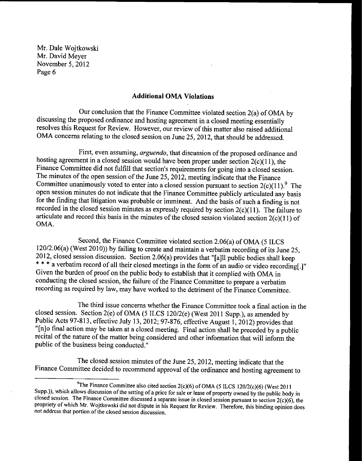#### Additional OMA Violations

Our conclusion that the Finance Committee violated section  $2(a)$  of OMA by discussing the proposed ordinance and hosting agreement in a closed meeting essentially resolves this Request for Review. However, our review of this matter also raised additional OMA concerns relating to the closed session on June 25, 2012, that should be addressed.

First, even assuming, arguendo, that discussion of the proposed ordinance and hosting agreement in a closed session would have been proper under section  $2(c)(11)$ , the Finance Committee did not fulfill that section's requirements for going into a closed session. The minutes of the open session of the June 25, 2012, meeting indicate that the Finance Committee unanimously voted to enter into a closed session pursuant to section  $2(c)(11)$ .<sup>9</sup> The open session minutes do not indicate that the Finance Committee publicly articulated any basis for the finding that litigation was probable or imminent. And the basis of such <sup>a</sup> finding is not recorded in the closed session minutes as expressly required by section  $2(c)(11)$ . The failure to articulate and record this basis in the minutes of the closed session violated section  $2(c)(11)$  of OMA.

Second, the Finance Committee violated section 2.06(a) of OMA (5 ILCS 120/2.06(a) ( West 2010)) by failing to create and maintain <sup>a</sup> verbatim recording of its June 25, 2012, closed session discussion. Section 2.06(a) provides that "[a]ll public bodies shall keep \*\*\* a verbatim record of all their closed meetings in the form of an audio or video recording[.]" Given the burden of proof on the public body to establish that it complied with OMA in conducting the closed session, the failure of the Finance Committee to prepare a verbatim recording as required by law, may have worked to the detriment of the Finance Committee.

The third issue concerns whether the Finance Committee took a final action in the closed session. Section 2(e) of OMA (5 ILCS 120/2(e) (West 2011 Supp.), as amended by Public Acts 97-813, effective July 13, 2012; 97-876, effective August 1, 2012) provides that "[n]o final action may be taken at a closed meeting. Final action shall be preceded by a public recital of the nature of the matter being considered and other information that will inform the public of the business being conducted."

The closed session minutes of the June 25, 2012, meeting indicate that the Finance Committee decided to recommend approval of the ordinance and hosting agreement to

<sup>&</sup>lt;sup>9</sup>The Finance Committee also cited section 2(c)(6) of OMA (5 ILCS 120/2(c)(6) (West 2011 Supp.)), which allows discussion of the setting of <sup>a</sup> price for sale or lease of property owned by the public body in closed session. The Finance Committee discussed a separate issue in closed session pursuant to section  $2(c)(6)$ , the propriety of which Mr. Wojtkowski did not dispute in his Request for Review. Therefore, this binding opinion does not address that portion of the closed session discussion.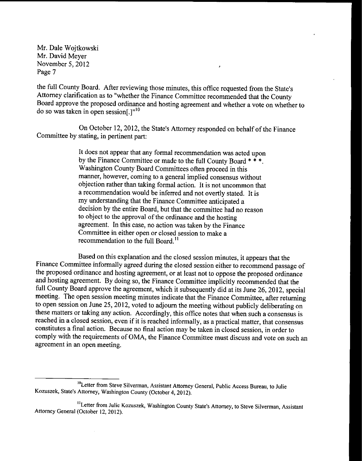the full County Board. After reviewing those minutes, this office requested from the State's Attorney clarification as to " whether the Finance Committee recommended that the County Board approve the proposed ordinance and hosting agreement and whether a vote on whether to do so was taken in open session[.] $n^{10}$ 

×

On October 12, 2012, the State's Attorney responded on behalf of the Finance Committee by stating, in pertinent part:

> It does not appear that any formal recommendation was acted upon by the Finance Committee or made to the full County Board \* \* \*. Washington County Board Committees often proceed in this manner, however, coming to a general implied consensus without objection rather than taking formal action. It is not uncommon that a recommendation would be inferred and not overtly stated. It is my understanding that the Finance Committee anticipated a decision by the entire Board, but that the committee had no reason to object to the approval of the ordinance and the hosting agreement. In this case, no action was taken by the Finance Committee in either open or closed session to make a recommendation to the full Board.<sup>11</sup>

Based on this explanation and the closed session minutes, it appears that the Finance Committee informally agreed during the closed session either to recommend passage of the proposed ordinance and hosting agreement, or at least not to oppose the proposed ordinance and hosting agreement. By doing so, the Finance Committee implicitly recommended that the full County Board approve the agreement, which it subsequently did at its June 26, 2012, special meeting. The open session meeting minutes indicate that the Finance Committee, after returning to open session on June 25, 2012, voted to adjourn the meeting without publicly deliberating on these matters or taking any action. Accordingly, this office notes that when such a consensus is reached in <sup>a</sup> closed session, even if it is reached informally, as <sup>a</sup> practical matter, that consensus constitutes a final action. Because no final action may be taken in closed session, in order to comply with the requirements of OMA, the Finance Committee must discuss and vote on such an agreement in an open meeting.

<sup>&</sup>lt;sup>10</sup>Letter from Steve Silverman, Assistant Attorney General, Public Access Bureau, to Julie Kozuszek, State's Attorney, Washington County (October 4, 2012).

<sup>&</sup>lt;sup>11</sup> Letter from Julie Kozuszek, Washington County State's Attorney, to Steve Silverman, Assistant Attorney General (October 12, 2012).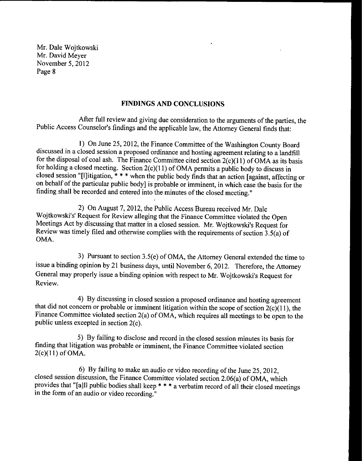### FINDINGS AND CONCLUSIONS

After full review and giving due consideration to the arguments of the parties, the Public Access Counselor's findings and the applicable law, the Attorney General finds that:

1) On June 25, 2012, the Finance Committee of the Washington County Board discussed in a closed session a proposed ordinance and hosting agreement relating to a landfill for the disposal of coal ash. The Finance Committee cited section  $2(c)(11)$  of OMA as its basis for holding a closed meeting. Section  $2(c)(11)$  of OMA permits a public body to discuss in closed session "[l] itigation,  $* * *$  when the public body finds that an action [against, affecting or on behalf of the particular public body] is probable or imminent, in which case the basis for the finding shall be recorded and entered into the minutes of the closed meeting."

2) On August 7, 2012, the Public Access Bureau received Mr. Dale Wojtkowski's' Request for Review alleging that the Finance Committee violated the Open Meetings Act by discussing that matter in a closed session. Mr. Wojtkowski's Request for Review was timely filed and otherwise complies with the requirements of section  $3.5(a)$  of OMA.

3) Pursuant to section  $3.5(e)$  of OMA, the Attorney General extended the time to issue a binding opinion by 21 business days, until November 6, 2012. Therefore, the Attorney General may properly issue <sup>a</sup> binding opinion with respect to Mr. Wojtkowski's Request for Review.

4) By discussing in closed session a proposed ordinance and hosting agreement that did not concern or probable or imminent litigation within the scope of section  $\frac{2(c)}{11}$ , the Finance Committee violated section 2(a) of OMA, which requires all meetings to be open to the public unless excepted in section  $2(c)$ .

5) By failing to disclose and record in the closed session minutes its basis for finding that litigation was probable or imminent, the Finance Committee violated section  $2(c)(11)$  of OMA.

6) By failing to make an audio or video recording of the June 25, 2012, closed session discussion, the Finance Committee violated section 2.06(a) of OMA, which provides that "[a] ll public bodies shall keep \* \* \* a verbatim record of all their closed meetings in the form of an audio or video recording."